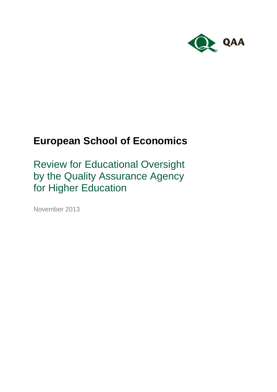

# **European School of Economics**

Review for Educational Oversight by the Quality Assurance Agency for Higher Education

November 2013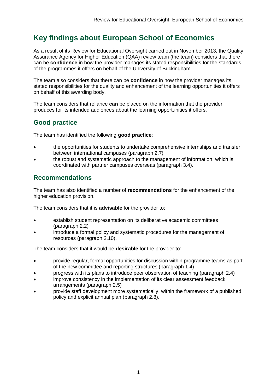## **Key findings about European School of Economics**

As a result of its Review for Educational Oversight carried out in November 2013, the Quality Assurance Agency for Higher Education (QAA) review team (the team) considers that there can be **confidence** in how the provider manages its stated responsibilities for the standards of the programmes it offers on behalf of the University of Buckingham.

The team also considers that there can be **confidence** in how the provider manages its stated responsibilities for the quality and enhancement of the learning opportunities it offers on behalf of this awarding body.

The team considers that reliance **can** be placed on the information that the provider produces for its intended audiences about the learning opportunities it offers.

### **Good practice**

The team has identified the following **good practice**:

- the opportunities for students to undertake comprehensive internships and transfer between international campuses (paragraph 2.7)
- the robust and systematic approach to the management of information, which is coordinated with partner campuses overseas (paragraph 3.4).

### **Recommendations**

The team has also identified a number of **recommendations** for the enhancement of the higher education provision.

The team considers that it is **advisable** for the provider to:

- establish student representation on its deliberative academic committees (paragraph 2.2)
- introduce a formal policy and systematic procedures for the management of resources (paragraph 2.10).

The team considers that it would be **desirable** for the provider to:

- provide regular, formal opportunities for discussion within programme teams as part of the new committee and reporting structures (paragraph 1.4)
- progress with its plans to introduce peer observation of teaching (paragraph 2.4)
- improve consistency in the implementation of its clear assessment feedback arrangements (paragraph 2.5)
- provide staff development more systematically, within the framework of a published policy and explicit annual plan (paragraph 2.8).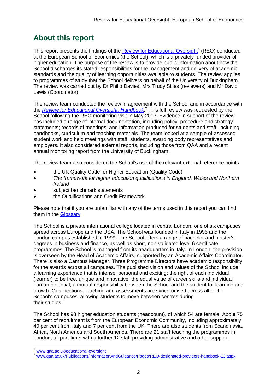## **About this report**

This report presents the findings of the **Review for Educational Oversight<sup>1</sup>** (REO) conducted at the European School of Economics (the School), which is a privately funded provider of higher education. The purpose of the review is to provide public information about how the School discharges its stated responsibilities for the management and delivery of academic standards and the quality of learning opportunities available to students. The review applies to programmes of study that the School delivers on behalf of the University of Buckingham. The review was carried out by Dr Philip Davies, Mrs Trudy Stiles (reviewers) and Mr David Lewis (Coordinator).

The review team conducted the review in agreement with the School and in accordance with the *[Review for Educational Oversight:](http://www.qaa.ac.uk/Publications/InformationAndGuidance/Pages/REO-handbook.aspx) Handbook*. <sup>2</sup> This full review was requested by the School following the REO monitoring visit in May 2013. Evidence in support of the review has included a range of internal documentation, including policy, procedure and strategy statements; records of meetings; and information produced for students and staff, including handbooks, curriculum and teaching materials. The team looked at a sample of assessed student work and held meetings with staff, students, awarding body representatives and employers. It also considered external reports, including those from QAA and a recent annual monitoring report from the University of Buckingham.

The review team also considered the School's use of the relevant external reference points:

- the UK Quality Code for Higher Education (Quality Code)
- *The framework for higher education qualifications in England, Wales and Northern Ireland*
- subject benchmark statements
- the Qualifications and Credit Framework.

Please note that if you are unfamiliar with any of the terms used in this report you can find them in the [Glossary.](#page-17-0)

The School is a private international college located in central London, one of six campuses spread across Europe and the USA. The School was founded in Italy in 1995 and the London campus established in 1999. The School offers a range of bachelor and master's degrees in business and finance, as well as short, non-validated level 6 certificate programmes. The School is managed from its headquarters in Italy. In London, the provision is overseen by the Head of Academic Affairs, supported by an Academic Affairs Coordinator. There is also a Campus Manager. Three Programme Directors have academic responsibility for the awards across all campuses. The published vision and values of the School include: a learning experience that is intense, personal and exciting; the right of each individual (learner) to be free, unique and innovative; the equal value of career skills and individual human potential; a mutual responsibility between the School and the student for learning and growth. Qualifications, teaching and assessments are synchronised across all of the School's campuses, allowing students to move between centres during their studies.

The School has 98 higher education students (headcount), of which 54 are female. About 75 per cent of recruitment is from the European Economic Community, including approximately 40 per cent from Italy and 7 per cent from the UK. There are also students from Scandinavia, Africa, North America and South America. There are 21 staff teaching the programmes in London, all part-time, with a further 12 staff providing administrative and other support.

-

<sup>&</sup>lt;sup>1</sup> [www.qaa.ac.uk/educational-oversight](http://www.qaa.ac.uk/educational-oversight)

<sup>2</sup> [www.qaa.ac.uk/Publications/InformationAndGuidance/Pages/REO-designated-providers-handbook-13.aspx](http://www.qaa.ac.uk/Publications/InformationAndGuidance/Pages/REO-designated-providers-handbook-13.aspx)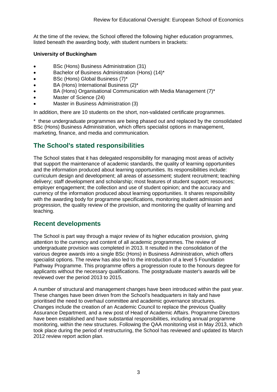At the time of the review, the School offered the following higher education programmes, listed beneath the awarding body, with student numbers in brackets:

#### **University of Buckingham**

- BSc (Hons) Business Administration (31)
- Bachelor of Business Administration (Hons) (14)\*
- BSc (Hons) Global Business (7)\*
- BA (Hons) International Business (2)\*
- BA (Hons) Organisational Communication with Media Management (7)\*
- Master of Science (24)
- Master in Business Administration (3)

In addition, there are 10 students on the short, non-validated certificate programmes.

\* these undergraduate programmes are being phased out and replaced by the consolidated BSc (Hons) Business Administration, which offers specialist options in management, marketing, finance, and media and communication.

### **The School's stated responsibilities**

The School states that it has delegated responsibility for managing most areas of activity that support the maintenance of academic standards, the quality of learning opportunities and the information produced about learning opportunities. Its responsibilities include: curriculum design and development; all areas of assessment; student recruitment; teaching delivery; staff development and scholarship; most features of student support; resources; employer engagement; the collection and use of student opinion; and the accuracy and currency of the information produced about learning opportunities. It shares responsibility with the awarding body for programme specifications, monitoring student admission and progression, the quality review of the provision, and monitoring the quality of learning and teaching.

### **Recent developments**

The School is part way through a major review of its higher education provision, giving attention to the currency and content of all academic programmes. The review of undergraduate provision was completed in 2013. It resulted in the consolidation of the various degree awards into a single BSc (Hons) in Business Administration, which offers specialist options. The review has also led to the introduction of a level 5 Foundation Pathway Programme. This programme offers a progression route to the honours degree for applicants without the necessary qualifications. The postgraduate master's awards will be reviewed over the period 2013 to 2015.

A number of structural and management changes have been introduced within the past year. These changes have been driven from the School's headquarters in Italy and have prioritised the need to overhaul committee and academic governance structures. Changes include the creation of an Academic Council to replace the previous Quality Assurance Department, and a new post of Head of Academic Affairs. Programme Directors have been established and have substantial responsibilities, including annual programme monitoring, within the new structures. Following the QAA monitoring visit in May 2013, which took place during the period of restructuring, the School has reviewed and updated its March 2012 review report action plan.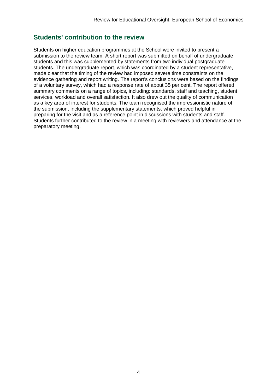### **Students' contribution to the review**

Students on higher education programmes at the School were invited to present a submission to the review team. A short report was submitted on behalf of undergraduate students and this was supplemented by statements from two individual postgraduate students. The undergraduate report, which was coordinated by a student representative, made clear that the timing of the review had imposed severe time constraints on the evidence gathering and report writing. The report's conclusions were based on the findings of a voluntary survey, which had a response rate of about 35 per cent. The report offered summary comments on a range of topics, including: standards, staff and teaching, student services, workload and overall satisfaction. It also drew out the quality of communication as a key area of interest for students. The team recognised the impressionistic nature of the submission, including the supplementary statements, which proved helpful in preparing for the visit and as a reference point in discussions with students and staff. Students further contributed to the review in a meeting with reviewers and attendance at the preparatory meeting.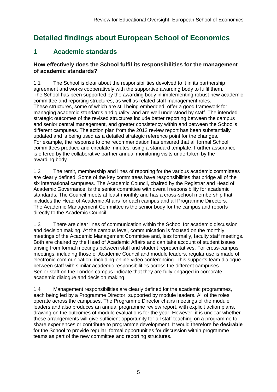## **Detailed findings about European School of Economics**

## **1 Academic standards**

#### **How effectively does the School fulfil its responsibilities for the management of academic standards?**

1.1 The School is clear about the responsibilities devolved to it in its partnership agreement and works cooperatively with the supportive awarding body to fulfil them. The School has been supported by the awarding body in implementing robust new academic committee and reporting structures, as well as related staff management roles. These structures, some of which are still being embedded, offer a good framework for managing academic standards and quality, and are well understood by staff. The intended strategic outcomes of the revised structures include better reporting between the campus and senior central management, and greater consistency within and between the School's different campuses. The action plan from the 2012 review report has been substantially updated and is being used as a detailed strategic reference point for the changes. For example, the response to one recommendation has ensured that all formal School committees produce and circulate minutes, using a standard template. Further assurance is offered by the collaborative partner annual monitoring visits undertaken by the awarding body.

1.2 The remit, membership and lines of reporting for the various academic committees are clearly defined. Some of the key committees have responsibilities that bridge all of the six international campuses. The Academic Council, chaired by the Registrar and Head of Academic Governance, is the senior committee with overall responsibility for academic standards. The Council meets at least monthly and has a cross-school membership that includes the Head of Academic Affairs for each campus and all Programme Directors. The Academic Management Committee is the senior body for the campus and reports directly to the Academic Council.

1.3 There are clear lines of communication within the School for academic discussion and decision making. At the campus level, communication is focused on the monthly meetings of the Academic Management Committee and, less formally, faculty staff meetings. Both are chaired by the Head of Academic Affairs and can take account of student issues arising from formal meetings between staff and student representatives. For cross-campus meetings, including those of Academic Council and module leaders, regular use is made of electronic communication, including online video conferencing. This supports team dialogue between staff with similar academic responsibilities across the different campuses. Senior staff on the London campus indicate that they are fully engaged in corporate academic dialogue and decision making.

1.4 Management responsibilities are clearly defined for the academic programmes, each being led by a Programme Director, supported by module leaders. All of the roles operate across the campuses. The Programme Director chairs meetings of the module leaders and also produces an annual programme review report, with explicit action plans, drawing on the outcomes of module evaluations for the year. However, it is unclear whether these arrangements will give sufficient opportunity for all staff teaching on a programme to share experiences or contribute to programme development. It would therefore be **desirable** for the School to provide regular, formal opportunities for discussion within programme teams as part of the new committee and reporting structures.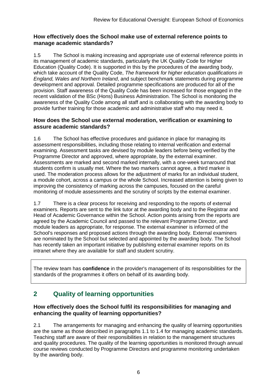#### **How effectively does the School make use of external reference points to manage academic standards?**

1.5 The School is making increasing and appropriate use of external reference points in its management of academic standards, particularly the UK Quality Code for Higher Education (Quality Code). It is supported in this by the procedures of the awarding body, which take account of the Quality Code, *The framework for higher education qualifications in England, Wales and Northern Ireland*, and subject benchmark statements during programme development and approval. Detailed programme specifications are produced for all of the provision. Staff awareness of the Quality Code has been increased for those engaged in the recent validation of the BSc (Hons) Business Administration. The School is monitoring the awareness of the Quality Code among all staff and is collaborating with the awarding body to provide further training for those academic and administrative staff who may need it.

#### **How does the School use external moderation, verification or examining to assure academic standards?**

1.6 The School has effective procedures and guidance in place for managing its assessment responsibilities, including those relating to internal verification and external examining. Assessment tasks are devised by module leaders before being verified by the Programme Director and approved, where appropriate, by the external examiner. Assessments are marked and second marked internally, with a one-week turnaround that students confirm is usually met. Where the two markers cannot agree, a third marker is used. The moderation process allows for the adjustment of marks for an individual student, a module cohort, across a campus or the whole School. Increased attention is being given to improving the consistency of marking across the campuses, focused on the careful monitoring of module assessments and the scrutiny of scripts by the external examiner.

1.7 There is a clear process for receiving and responding to the reports of external examiners. Reports are sent to the link tutor at the awarding body and to the Registrar and Head of Academic Governance within the School. Action points arising from the reports are agreed by the Academic Council and passed to the relevant Programme Director, and module leaders as appropriate, for response. The external examiner is informed of the School's responses and proposed actions through the awarding body. External examiners are nominated by the School but selected and appointed by the awarding body. The School has recently taken an important initiative by publishing external examiner reports on its intranet where they are available for staff and student scrutiny.

The review team has **confidence** in the provider's management of its responsibilities for the standards of the programmes it offers on behalf of its awarding body.

## **2 Quality of learning opportunities**

#### **How effectively does the School fulfil its responsibilities for managing and enhancing the quality of learning opportunities?**

2.1 The arrangements for managing and enhancing the quality of learning opportunities are the same as those described in paragraphs 1.1 to 1.4 for managing academic standards. Teaching staff are aware of their responsibilities in relation to the management structures and quality procedures. The quality of the learning opportunities is monitored through annual course reviews conducted by Programme Directors and programme monitoring undertaken by the awarding body.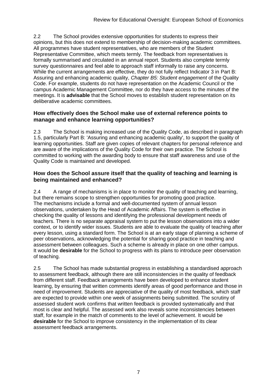2.2 The School provides extensive opportunities for students to express their opinions, but this does not extend to membership of decision-making academic committees. All programmes have student representatives, who are members of the Student Representative Committee, which meets termly. The feedback from representatives is formally summarised and circulated in an annual report. Students also complete termly survey questionnaires and feel able to approach staff informally to raise any concerns. While the current arrangements are effective, they do not fully reflect Indicator 3 in Part B: Assuring and enhancing academic quality, *Chapter B5: Student engagement* of the Quality Code. For example, students do not have representation on the Academic Council or the campus Academic Management Committee, nor do they have access to the minutes of the meetings. It is **advisable** that the School moves to establish student representation on its deliberative academic committees.

#### **How effectively does the School make use of external reference points to manage and enhance learning opportunities?**

2.3 The School is making increased use of the Quality Code, as described in paragraph 1.5, particularly Part B: 'Assuring and enhancing academic quality', to support the quality of learning opportunities. Staff are given copies of relevant chapters for personal reference and are aware of the implications of the Quality Code for their own practice. The School is committed to working with the awarding body to ensure that staff awareness and use of the Quality Code is maintained and developed.

#### **How does the School assure itself that the quality of teaching and learning is being maintained and enhanced?**

2.4 A range of mechanisms is in place to monitor the quality of teaching and learning, but there remains scope to strengthen opportunities for promoting good practice. The mechanisms include a formal and well-documented system of annual lesson observations, undertaken by the Head of Academic Affairs. The system is effective in checking the quality of lessons and identifying the professional development needs of teachers. There is no separate appraisal system to put the lesson observations into a wider context, or to identify wider issues. Students are able to evaluate the quality of teaching after every lesson, using a standard form. The School is at an early stage of planning a scheme of peer observations, acknowledging the potential for sharing good practice in teaching and assessment between colleagues. Such a scheme is already in place on one other campus. It would be **desirable** for the School to progress with its plans to introduce peer observation of teaching.

2.5 The School has made substantial progress in establishing a standardised approach to assessment feedback, although there are still inconsistencies in the quality of feedback from different staff. Feedback arrangements have been developed to enhance student learning, by ensuring that written comments identify areas of good performance and those in need of improvement. Students are appreciative of the quality of most feedback, which staff are expected to provide within one week of assignments being submitted. The scrutiny of assessed student work confirms that written feedback is provided systematically and that most is clear and helpful. The assessed work also reveals some inconsistencies between staff, for example in the match of comments to the level of achievement. It would be **desirable** for the School to improve consistency in the implementation of its clear assessment feedback arrangements.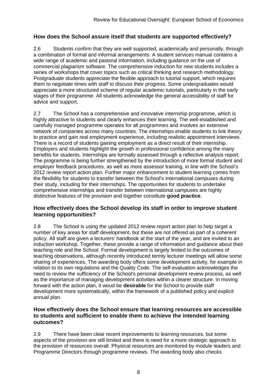#### **How does the School assure itself that students are supported effectively?**

2.6 Students confirm that they are well supported, academically and personally, through a combination of formal and informal arrangements. A student services manual contains a wide range of academic and pastoral information, including guidance on the use of commercial plagiarism software. The comprehensive induction for new students includes a series of workshops that cover topics such as critical thinking and research methodology. Postgraduate students appreciate the flexible approach to tutorial support, which requires them to negotiate times with staff to discuss their progress. Some undergraduates would appreciate a more structured scheme of regular academic tutorials, particularly in the early stages of their programme. All students acknowledge the general accessibility of staff for advice and support.

2.7 The School has a comprehensive and innovative internship programme, which is highly attractive to students and clearly enhances their learning. The well-established and carefully managed programme operates for all programmes and involves an extensive network of companies across many countries. The internships enable students to link theory to practice and gain real employment experience, including realistic appointment interviews. There is a record of students gaining employment as a direct result of their internship. Employers and students highlight the growth in professional confidence among the many benefits for students. Internships are formally assessed through a reflective analysis report. The programme is being further strengthened by the introduction of more formal student and employer feedback procedures, as well as more assessor training, in line with the School's 2012 review report action plan. Further major enhancement to student learning comes from the flexibility for students to transfer between the School's international campuses during their study, including for their internships. The opportunities for students to undertake comprehensive internships and transfer between international campuses are highly distinctive features of the provision and together constitute **good practice**.

#### **How effectively does the School develop its staff in order to improve student learning opportunities?**

2.8 The School is using the updated 2012 review report action plan to help target a number of key areas for staff development, but these are not offered as part of a coherent policy. All staff are given a lecturers' handbook at the start of the year, and are invited to an induction workshop. Together, these provide a range of information and guidance about their teaching role and the School. Formal development is largely limited to the outcomes of teaching observations, although recently introduced termly lecturer meetings will allow some sharing of experiences. The awarding body offers some development activity, for example in relation to its own regulations and the Quality Code. The self-evaluation acknowledges the need to review the sufficiency of the School's personal development review process, as well as the importance of managing development activities within a clearer structure. In moving forward with the action plan, it woud be **desirable** for the School to provide staff development more systematically, within the framework of a published policy and explicit annual plan.

#### **How effectively does the School ensure that learning resources are accessible to students and sufficient to enable them to achieve the intended learning outcomes?**

2.9 There have been clear recent improvements to learning resources, but some aspects of the provision are still limited and there is need for a more strategic approach to the provision of resources overall. Physical resources are monitored by module leaders and Programme Directors through programme reviews. The awarding body also checks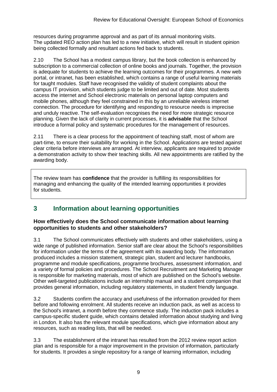resources during programme approval and as part of its annual monitoring visits. The updated REO action plan has led to a new initiative, which will result in student opinion being collected formally and resultant actions fed back to students.

2.10 The School has a modest campus library, but the book collection is enhanced by subscription to a commercial collection of online books and journals. Together, the provision is adequate for students to achieve the learning outcomes for their programmes. A new web portal, or intranet, has been established, which contains a range of useful learning materials for taught modules. Staff have recognised the validity of student complaints about the campus IT provision, which students judge to be limited and out of date. Most students access the internet and School electronic materials on personal laptop computers and mobile phones, although they feel constrained in this by an unreliable wireless internet connection. The procedure for identifying and responding to resource needs is imprecise and unduly reactive. The self-evaluation recognises the need for more strategic resource planning. Given the lack of clarity in current processes, it is **advisable** that the School introduce a formal policy and systematic procedures for the management of resources.

2.11 There is a clear process for the appointment of teaching staff, most of whom are part-time, to ensure their suitability for working in the School. Applications are tested against clear criteria before interviews are arranged. At interview, applicants are required to provide a demonstration activity to show their teaching skills. All new appointments are ratified by the awarding body.

The review team has **confidence** that the provider is fulfilling its responsibilities for managing and enhancing the quality of the intended learning opportunities it provides for students.

### **3 Information about learning opportunities**

#### **How effectively does the School communicate information about learning opportunities to students and other stakeholders?**

3.1 The School communicates effectively with students and other stakeholders, using a wide range of published information. Senior staff are clear about the School's responsibilities for information under the terms of the agreement with its awarding body. The information produced includes a mission statement, strategic plan, student and lecturer handbooks, programme and module specifications, programme brochures, assessment information, and a variety of formal policies and procedures. The School Recruitment and Marketing Manager is responsible for marketing materials, most of which are published on the School's website. Other well-targeted publications include an internship manual and a student companion that provides general information, including regulatory statements, in student friendly language.

3.2 Students confirm the accuracy and usefulness of the information provided for them before and following enrolment. All students receive an induction pack, as well as access to the School's intranet, a month before they commence study. The induction pack includes a campus-specific student guide, which contains detailed information about studying and living in London. It also has the relevant module specifications, which give information about any resources, such as reading lists, that will be needed.

3.3 The establishment of the intranet has resulted from the 2012 review report action plan and is responsible for a major improvement in the provision of information, particularly for students. It provides a single repository for a range of learning information, including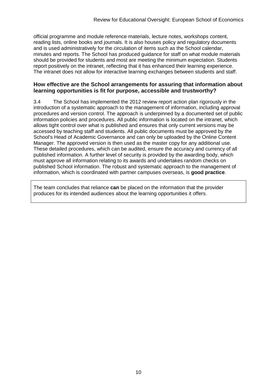official programme and module reference materials, lecture notes, workshops content, reading lists, online books and journals. It is also houses policy and regulatory documents and is used administratively for the circulation of items such as the School calendar, minutes and reports. The School has produced guidance for staff on what module materials should be provided for students and most are meeting the minimum expectation. Students report positively on the intranet, reflecting that it has enhanced their learning experience. The intranet does not allow for interactive learning exchanges between students and staff.

#### **How effective are the School arrangements for assuring that information about learning opportunities is fit for purpose, accessible and trustworthy?**

3.4 The School has implemented the 2012 review report action plan rigorously in the introduction of a systematic approach to the management of information, including approval procedures and version control. The approach is underpinned by a documented set of public information policies and procedures. All public information is located on the intranet, which allows tight control over what is published and ensures that only current versions may be accessed by teaching staff and students. All public documents must be approved by the School's Head of Academic Governance and can only be uploaded by the Online Content Manager. The approved version is then used as the master copy for any additional use. These detailed procedures, which can be audited, ensure the accuracy and currency of all published information. A further level of security is provided by the awarding body, which must approve all information relating to its awards and undertakes random checks on published School information. The robust and systematic approach to the management of information, which is coordinated with partner campuses overseas, is **good practice**.

The team concludes that reliance **can** be placed on the information that the provider produces for its intended audiences about the learning opportunities it offers.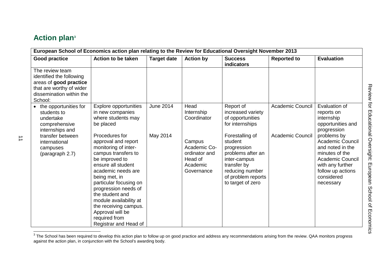## **Action plan<sup>3</sup>**

| European School of Economics action plan relating to the Review for Educational Oversight November 2013                                  |                                                                                                                                                                                                                                                                                                                                                           |                    |                                                                              |                                                                                                                                                             |                         |                                                                                                                                                                             |  |
|------------------------------------------------------------------------------------------------------------------------------------------|-----------------------------------------------------------------------------------------------------------------------------------------------------------------------------------------------------------------------------------------------------------------------------------------------------------------------------------------------------------|--------------------|------------------------------------------------------------------------------|-------------------------------------------------------------------------------------------------------------------------------------------------------------|-------------------------|-----------------------------------------------------------------------------------------------------------------------------------------------------------------------------|--|
| <b>Good practice</b>                                                                                                                     | <b>Action to be taken</b>                                                                                                                                                                                                                                                                                                                                 | <b>Target date</b> | <b>Action by</b>                                                             | <b>Success</b><br>indicators                                                                                                                                | <b>Reported to</b>      | <b>Evaluation</b>                                                                                                                                                           |  |
| The review team<br>identified the following<br>areas of good practice<br>that are worthy of wider<br>dissemination within the<br>School: |                                                                                                                                                                                                                                                                                                                                                           |                    |                                                                              |                                                                                                                                                             |                         |                                                                                                                                                                             |  |
| • the opportunities for<br>students to<br>undertake<br>comprehensive<br>internships and                                                  | Explore opportunities<br>in new companies<br>where students may<br>be placed                                                                                                                                                                                                                                                                              | <b>June 2014</b>   | Head<br>Internship<br>Coordinator                                            | Report of<br>increased variety<br>of opportunities<br>for internships                                                                                       | <b>Academic Council</b> | Evaluation of<br>reports on<br>internship<br>opportunities and<br>progression                                                                                               |  |
| transfer between<br>international<br>campuses<br>(paragraph 2.7)                                                                         | Procedures for<br>approval and report<br>monitoring of inter-<br>campus transfers to<br>be improved to<br>ensure all student<br>academic needs are<br>being met, in<br>particular focusing on<br>progression needs of<br>the student and<br>module availability at<br>the receiving campus.<br>Approval will be<br>required from<br>Registrar and Head of | May 2014           | Campus<br>Academic Co-<br>ordinator and<br>Head of<br>Academic<br>Governance | Forestalling of<br>student<br>progression<br>problems after an<br>inter-campus<br>transfer by<br>reducing number<br>of problem reports<br>to target of zero | <b>Academic Council</b> | problems by<br><b>Academic Council</b><br>and noted in the<br>minutes of the<br><b>Academic Council</b><br>with any further<br>follow up actions<br>considered<br>necessary |  |

 3 The School has been required to develop this action plan to follow up on good practice and address any recommendations arising from the review. QAA monitors progress against the action plan, in conjunction with the School's awarding body.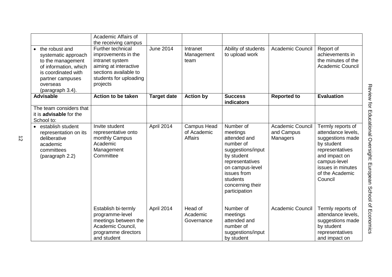|                                                                                                                                                                  | Academic Affairs of<br>the receiving campus                                                                                                         |                    |                                                     |                                                                                                                                                                                             |                                            |                                                                                                                                                                                  |
|------------------------------------------------------------------------------------------------------------------------------------------------------------------|-----------------------------------------------------------------------------------------------------------------------------------------------------|--------------------|-----------------------------------------------------|---------------------------------------------------------------------------------------------------------------------------------------------------------------------------------------------|--------------------------------------------|----------------------------------------------------------------------------------------------------------------------------------------------------------------------------------|
| • the robust and<br>systematic approach<br>to the management<br>of information, which<br>is coordinated with<br>partner campuses<br>overseas<br>(paragraph 3.4). | Further technical<br>improvements in the<br>intranet system<br>aiming at interactive<br>sections available to<br>students for uploading<br>projects | <b>June 2014</b>   | Intranet<br>Management<br>team                      | Ability of students<br>to upload work                                                                                                                                                       | <b>Academic Council</b>                    | Report of<br>achievements in<br>the minutes of the<br><b>Academic Council</b>                                                                                                    |
| <b>Advisable</b>                                                                                                                                                 | <b>Action to be taken</b>                                                                                                                           | <b>Target date</b> | <b>Action by</b>                                    | <b>Success</b><br>indicators                                                                                                                                                                | <b>Reported to</b>                         | <b>Evaluation</b>                                                                                                                                                                |
| The team considers that<br>it is <b>advisable</b> for the<br>School to:                                                                                          |                                                                                                                                                     |                    |                                                     |                                                                                                                                                                                             |                                            |                                                                                                                                                                                  |
| • establish student<br>representation on its<br>deliberative<br>academic<br>committees<br>(paragraph 2.2)                                                        | Invite student<br>representative onto<br>monthly Campus<br>Academic<br>Management<br>Committee                                                      | April 2014         | <b>Campus Head</b><br>of Academic<br><b>Affairs</b> | Number of<br>meetings<br>attended and<br>number of<br>suggestions/input<br>by student<br>representatives<br>on campus-level<br>issues from<br>students<br>concerning their<br>participation | Academic Council<br>and Campus<br>Managers | Termly reports of<br>attendance levels,<br>suggestions made<br>by student<br>representatives<br>and impact on<br>campus-level<br>issues in minutes<br>of the Academic<br>Council |
|                                                                                                                                                                  | Establish bi-termly<br>programme-level<br>meetings between the<br>Academic Council,<br>programme directors<br>and student                           | April 2014         | Head of<br>Academic<br>Governance                   | Number of<br>meetings<br>attended and<br>number of<br>suggestions/input<br>by student                                                                                                       | <b>Academic Council</b>                    | Termly reports of<br>attendance levels,<br>suggestions made<br>by student<br>representatives<br>and impact on                                                                    |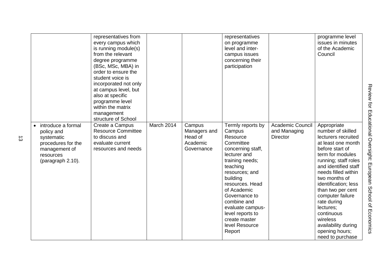|                    | representatives from<br>every campus which |            |              | representatives<br>on programme   |                         | programme level<br>issues in minutes |
|--------------------|--------------------------------------------|------------|--------------|-----------------------------------|-------------------------|--------------------------------------|
|                    | is running module(s)                       |            |              | level and inter-                  |                         | of the Academic                      |
|                    | from the relevant                          |            |              | campus issues                     |                         | Council                              |
|                    | degree programme<br>(BSc, MSc, MBA) in     |            |              | concerning their<br>participation |                         |                                      |
|                    | order to ensure the                        |            |              |                                   |                         |                                      |
|                    | student voice is                           |            |              |                                   |                         |                                      |
|                    | incorporated not only                      |            |              |                                   |                         |                                      |
|                    | at campus level, but                       |            |              |                                   |                         |                                      |
|                    | also at specific                           |            |              |                                   |                         |                                      |
|                    | programme level                            |            |              |                                   |                         |                                      |
|                    | within the matrix                          |            |              |                                   |                         |                                      |
|                    | management                                 |            |              |                                   |                         |                                      |
|                    | structure of School                        |            |              |                                   |                         |                                      |
| introduce a formal | Create a Campus                            | March 2014 | Campus       | Termly reports by                 | <b>Academic Council</b> | Appropriate                          |
| policy and         | <b>Resource Committee</b>                  |            | Managers and | Campus                            | and Managing            | number of skilled                    |
| systematic         | to discuss and                             |            | Head of      | Resource                          | <b>Director</b>         | lecturers recruited                  |
| procedures for the | evaluate current                           |            | Academic     | Committee                         |                         | at least one month                   |
| management of      | resources and needs                        |            | Governance   | concerning staff,                 |                         | before start of                      |
| resources          |                                            |            |              | lecturer and                      |                         | term for modules                     |
| (paragraph 2.10).  |                                            |            |              | training needs;                   |                         | running; staff roles                 |
|                    |                                            |            |              | teaching                          |                         | and identified staff                 |
|                    |                                            |            |              | resources; and                    |                         | needs filled within                  |
|                    |                                            |            |              | building                          |                         | two months of                        |
|                    |                                            |            |              | resources. Head                   |                         | identification; less                 |
|                    |                                            |            |              | of Academic                       |                         | than two per cent                    |
|                    |                                            |            |              | Governance to                     |                         | computer failure                     |
|                    |                                            |            |              | combine and                       |                         | rate during                          |
|                    |                                            |            |              | evaluate campus-                  |                         | lectures;                            |
|                    |                                            |            |              | level reports to                  |                         | continuous                           |
|                    |                                            |            |              | create master                     |                         | wireless                             |
|                    |                                            |            |              | level Resource                    |                         | availability during                  |
|                    |                                            |            |              | Report                            |                         | opening hours;                       |
|                    |                                            |            |              |                                   |                         | need to purchase                     |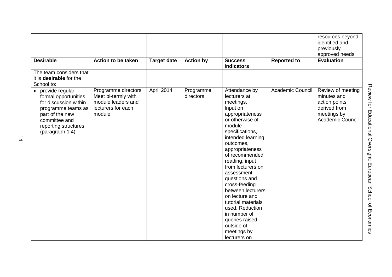|                                                                                                                                                                          |                                                                                                  |                    |                        |                                                                                                                                                                                                                                                                                                                                                                                                                                                        |                         | resources beyond<br>identified and<br>previously<br>approved needs                                          |
|--------------------------------------------------------------------------------------------------------------------------------------------------------------------------|--------------------------------------------------------------------------------------------------|--------------------|------------------------|--------------------------------------------------------------------------------------------------------------------------------------------------------------------------------------------------------------------------------------------------------------------------------------------------------------------------------------------------------------------------------------------------------------------------------------------------------|-------------------------|-------------------------------------------------------------------------------------------------------------|
| <b>Desirable</b>                                                                                                                                                         | Action to be taken                                                                               | <b>Target date</b> | <b>Action by</b>       | <b>Success</b><br>indicators                                                                                                                                                                                                                                                                                                                                                                                                                           | <b>Reported to</b>      | <b>Evaluation</b>                                                                                           |
| The team considers that<br>it is desirable for the<br>School to:                                                                                                         |                                                                                                  |                    |                        |                                                                                                                                                                                                                                                                                                                                                                                                                                                        |                         |                                                                                                             |
| • provide regular,<br>formal opportunities<br>for discussion within<br>programme teams as<br>part of the new<br>committee and<br>reporting structures<br>(paragraph 1.4) | Programme directors<br>Meet bi-termly with<br>module leaders and<br>lecturers for each<br>module | April 2014         | Programme<br>directors | Attendance by<br>lecturers at<br>meetings.<br>Input on<br>appropriateness<br>or otherwise of<br>module<br>specifications,<br>intended learning<br>outcomes,<br>appropriateness<br>of recommended<br>reading, input<br>from lecturers on<br>assessment<br>questions and<br>cross-feeding<br>between lecturers<br>on lecture and<br>tutorial materials<br>used. Reduction<br>in number of<br>queries raised<br>outside of<br>meetings by<br>lecturers on | <b>Academic Council</b> | Review of meeting<br>minutes and<br>action points<br>derived from<br>meetings by<br><b>Academic Council</b> |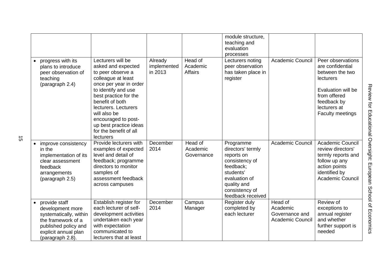|                                                                                                                                                       |                                                                                                                                                                                                                                                                                                                 |                                   |                                       | module structure.<br>teaching and                                                                                                                               |                                                                  |                                                                                                                                                                |
|-------------------------------------------------------------------------------------------------------------------------------------------------------|-----------------------------------------------------------------------------------------------------------------------------------------------------------------------------------------------------------------------------------------------------------------------------------------------------------------|-----------------------------------|---------------------------------------|-----------------------------------------------------------------------------------------------------------------------------------------------------------------|------------------------------------------------------------------|----------------------------------------------------------------------------------------------------------------------------------------------------------------|
|                                                                                                                                                       |                                                                                                                                                                                                                                                                                                                 |                                   |                                       | evaluation<br>processes                                                                                                                                         |                                                                  |                                                                                                                                                                |
| progress with its<br>plans to introduce<br>peer observation of<br>teaching<br>(paragraph 2.4)                                                         | Lecturers will be<br>asked and expected<br>to peer observe a<br>colleague at least<br>once per year in order<br>to identify and use<br>best practice for the<br>benefit of both<br>lecturers. Lecturers<br>will also be<br>encouraged to post-<br>up best practice ideas<br>for the benefit of all<br>lecturers | Already<br>implemented<br>in 2013 | Head of<br>Academic<br><b>Affairs</b> | Lecturers noting<br>peer observation<br>has taken place in<br>register                                                                                          | Academic Council                                                 | Peer observations<br>are confidential<br>between the two<br>lecturers<br>Evaluation will be<br>from offered<br>feedback by<br>lecturers at<br>Faculty meetings |
| improve consistency<br>in the<br>implementation of its<br>clear assessment<br>feedback<br>arrangements<br>(paragraph 2.5)                             | Provide lecturers with<br>examples of expected<br>level and detail of<br>feedback; programme<br>directors to monitor<br>samples of<br>assessment feedback<br>across campuses                                                                                                                                    | December<br>2014                  | Head of<br>Academic<br>Governance     | Programme<br>directors' termly<br>reports on<br>consistency of<br>feedback;<br>students'<br>evaluation of<br>quality and<br>consistency of<br>feedback received | <b>Academic Council</b>                                          | <b>Academic Council</b><br>review directors'<br>termly reports and<br>follow up any<br>action points<br>identified by<br>Academic Council                      |
| provide staff<br>development more<br>systematically, within<br>the framework of a<br>published policy and<br>explicit annual plan<br>(paragraph 2.8). | Establish register for<br>each lecturer of self-<br>development activities<br>undertaken each year<br>with expectation<br>communicated to<br>lecturers that at least                                                                                                                                            | December<br>2014                  | Campus<br>Manager                     | Register duly<br>completed by<br>each lecturer                                                                                                                  | Head of<br>Academic<br>Governance and<br><b>Academic Council</b> | Review of<br>exceptions to<br>annual register<br>and whether<br>further support is<br>needed                                                                   |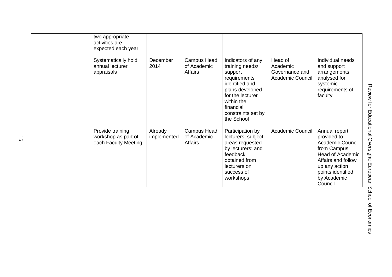| two appropriate<br>activities are<br>expected each year<br>Systematically hold<br>annual lecturer<br>appraisals | December<br>2014       | <b>Campus Head</b><br>of Academic<br>Affairs | Indicators of any<br>training needs/<br>support<br>requirements<br>identified and<br>plans developed<br>for the lecturer<br>within the<br>financial<br>constraints set by<br>the School | Head of<br>Academic<br>Governance and<br><b>Academic Council</b> | Individual needs<br>and support<br>arrangements<br>analysed for<br>systemic<br>requirements of<br>faculty                                                                               |  |
|-----------------------------------------------------------------------------------------------------------------|------------------------|----------------------------------------------|-----------------------------------------------------------------------------------------------------------------------------------------------------------------------------------------|------------------------------------------------------------------|-----------------------------------------------------------------------------------------------------------------------------------------------------------------------------------------|--|
| Provide training<br>workshop as part of<br>each Faculty Meeting                                                 | Already<br>implemented | <b>Campus Head</b><br>of Academic<br>Affairs | Participation by<br>lecturers; subject<br>areas requested<br>by lecturers; and<br>feedback<br>obtained from<br>lecturers on<br>success of<br>workshops                                  | <b>Academic Council</b>                                          | Annual report<br>provided to<br><b>Academic Council</b><br>from Campus<br><b>Head of Academic</b><br>Affairs and follow<br>up any action<br>points identified<br>by Academic<br>Council |  |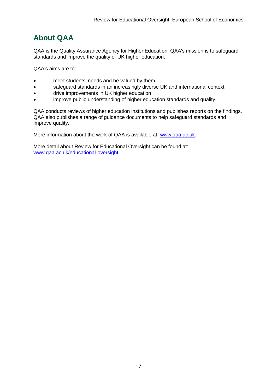## **About QAA**

QAA is the Quality Assurance Agency for Higher Education. QAA's mission is to safeguard standards and improve the quality of UK higher education.

QAA's aims are to:

- meet students' needs and be valued by them
- safeguard standards in an increasingly diverse UK and international context
- drive improvements in UK higher education
- improve public understanding of higher education standards and quality.

QAA conducts reviews of higher education institutions and publishes reports on the findings. QAA also publishes a range of guidance documents to help safeguard standards and improve quality.

More information about the work of QAA is available at: [www.qaa.ac.uk.](http://www.qaa.ac.uk/)

<span id="page-17-0"></span>More detail about Review for Educational Oversight can be found at: [www.qaa.ac.uk/educational-oversight.](http://www.qaa.ac.uk/educational-oversight)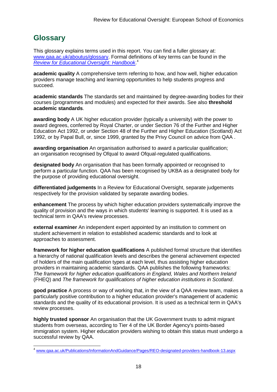## **Glossary**

-

This glossary explains terms used in this report. You can find a fuller glossary at: [www.qaa.ac.uk/aboutus/glossary.](http://www.qaa.ac.uk/aboutus/glossary) Formal definitions of key terms can be found in the *[Review for Educational Oversight: Handbook](http://www.qaa.ac.uk/Publications/InformationAndGuidance/Pages/REO-designated-providers-handbook-13.aspx)*. 4

**academic quality** A comprehensive term referring to how, and how well, higher education providers manage teaching and learning opportunities to help students progress and succeed.

**academic standards** The standards set and maintained by degree-awarding bodies for their courses (programmes and modules) and expected for their awards. See also **threshold academic standards**.

**awarding body** A UK higher education provider (typically a university) with the power to award degrees, conferred by Royal Charter, or under Section 76 of the Further and Higher Education Act 1992, or under Section 48 of the Further and Higher Education (Scotland) Act 1992, or by Papal Bull, or, since 1999, granted by the Privy Council on advice from QAA .

**awarding organisation** An organisation authorised to award a particular qualification; an organisation recognised by Ofqual to award Ofqual-regulated qualifications.

**designated body** An organisation that has been formally appointed or recognised to perform a particular function. QAA has been recognised by UKBA as a designated body for the purpose of providing educational oversight.

**differentiated judgements** In a Review for Educational Oversight, separate judgements respectively for the provision validated by separate awarding bodies.

**enhancement** The process by which higher education providers systematically improve the quality of provision and the ways in which students' learning is supported. It is used as a technical term in QAA's review processes.

**external examiner** An independent expert appointed by an institution to comment on student achievement in relation to established academic standards and to look at approaches to assessment.

**framework for higher education qualifications** A published formal structure that identifies a hierarchy of national qualification levels and describes the general achievement expected of holders of the main qualification types at each level, thus assisting higher education providers in maintaining academic standards. QAA publishes the following frameworks: *The framework for higher education qualifications in England, Wales and Northern Ireland* (FHEQ) and *The framework for qualifications of higher education institutions in Scotland*.

**good practice** A process or way of working that, in the view of a QAA review team, makes a particularly positive contribution to a higher education provider's management of academic standards and the quality of its educational provision. It is used as a technical term in QAA's review processes.

**highly trusted sponsor** An organisation that the UK Government trusts to admit migrant students from overseas, according to Tier 4 of the UK Border Agency's points-based immigration system. Higher education providers wishing to obtain this status must undergo a successful review by QAA.

<sup>4</sup> [www.qaa.ac.uk/Publications/InformationAndGuidance/Pages/REO-designated-providers-handbook-13.aspx](http://www.qaa.ac.uk/Publications/InformationAndGuidance/Pages/REO-designated-providers-handbook-13.aspx)